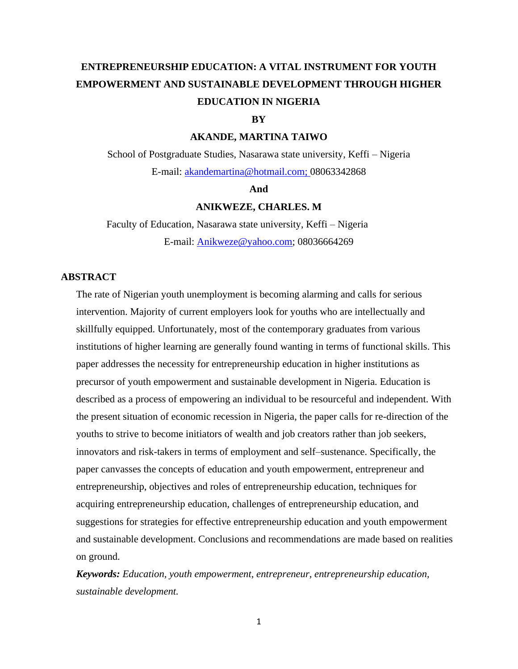# **ENTREPRENEURSHIP EDUCATION: A VITAL INSTRUMENT FOR YOUTH EMPOWERMENT AND SUSTAINABLE DEVELOPMENT THROUGH HIGHER EDUCATION IN NIGERIA**

## **BY**

## **AKANDE, MARTINA TAIWO**

School of Postgraduate Studies, Nasarawa state university, Keffi – Nigeria E-mail: [akandemartina@hotmail.com;](mailto:akandemartina@hotmail.com) 08063342868

#### **And**

### **ANIKWEZE, CHARLES. M**

 Faculty of Education, Nasarawa state university, Keffi – Nigeria E-mail: [Anikweze@yahoo.com;](mailto:Anikweze@yahoo.com) 08036664269

## **ABSTRACT**

The rate of Nigerian youth unemployment is becoming alarming and calls for serious intervention. Majority of current employers look for youths who are intellectually and skillfully equipped. Unfortunately, most of the contemporary graduates from various institutions of higher learning are generally found wanting in terms of functional skills. This paper addresses the necessity for entrepreneurship education in higher institutions as precursor of youth empowerment and sustainable development in Nigeria. Education is described as a process of empowering an individual to be resourceful and independent. With the present situation of economic recession in Nigeria, the paper calls for re-direction of the youths to strive to become initiators of wealth and job creators rather than job seekers, innovators and risk-takers in terms of employment and self–sustenance. Specifically, the paper canvasses the concepts of education and youth empowerment, entrepreneur and entrepreneurship, objectives and roles of entrepreneurship education, techniques for acquiring entrepreneurship education, challenges of entrepreneurship education, and suggestions for strategies for effective entrepreneurship education and youth empowerment and sustainable development. Conclusions and recommendations are made based on realities on ground.

*Keywords: Education, youth empowerment, entrepreneur, entrepreneurship education, sustainable development.*

1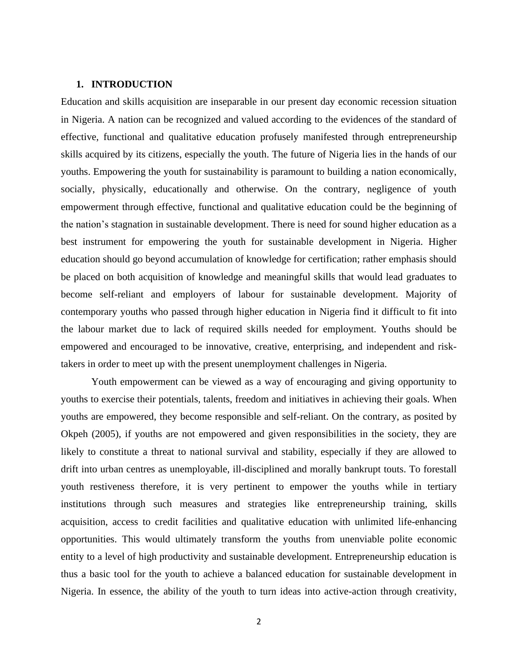## **1. INTRODUCTION**

Education and skills acquisition are inseparable in our present day economic recession situation in Nigeria. A nation can be recognized and valued according to the evidences of the standard of effective, functional and qualitative education profusely manifested through entrepreneurship skills acquired by its citizens, especially the youth. The future of Nigeria lies in the hands of our youths. Empowering the youth for sustainability is paramount to building a nation economically, socially, physically, educationally and otherwise. On the contrary, negligence of youth empowerment through effective, functional and qualitative education could be the beginning of the nation's stagnation in sustainable development. There is need for sound higher education as a best instrument for empowering the youth for sustainable development in Nigeria. Higher education should go beyond accumulation of knowledge for certification; rather emphasis should be placed on both acquisition of knowledge and meaningful skills that would lead graduates to become self-reliant and employers of labour for sustainable development. Majority of contemporary youths who passed through higher education in Nigeria find it difficult to fit into the labour market due to lack of required skills needed for employment. Youths should be empowered and encouraged to be innovative, creative, enterprising, and independent and risktakers in order to meet up with the present unemployment challenges in Nigeria.

Youth empowerment can be viewed as a way of encouraging and giving opportunity to youths to exercise their potentials, talents, freedom and initiatives in achieving their goals. When youths are empowered, they become responsible and self-reliant. On the contrary, as posited by Okpeh (2005), if youths are not empowered and given responsibilities in the society, they are likely to constitute a threat to national survival and stability, especially if they are allowed to drift into urban centres as unemployable, ill-disciplined and morally bankrupt touts. To forestall youth restiveness therefore, it is very pertinent to empower the youths while in tertiary institutions through such measures and strategies like entrepreneurship training, skills acquisition, access to credit facilities and qualitative education with unlimited life-enhancing opportunities. This would ultimately transform the youths from unenviable polite economic entity to a level of high productivity and sustainable development. Entrepreneurship education is thus a basic tool for the youth to achieve a balanced education for sustainable development in Nigeria. In essence, the ability of the youth to turn ideas into active-action through creativity,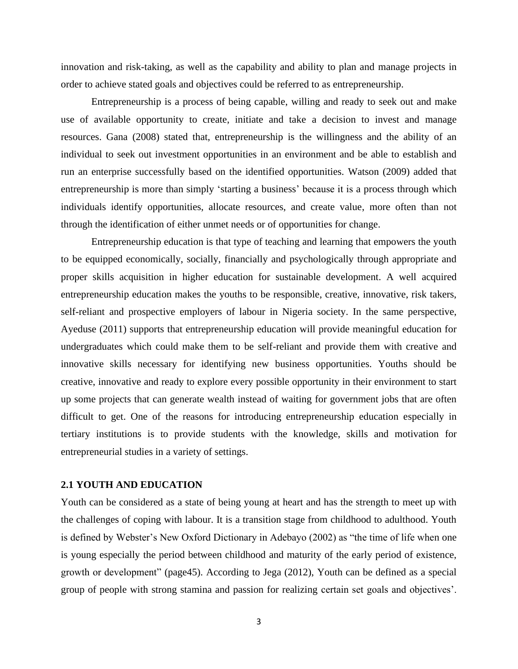innovation and risk-taking, as well as the capability and ability to plan and manage projects in order to achieve stated goals and objectives could be referred to as entrepreneurship.

Entrepreneurship is a process of being capable, willing and ready to seek out and make use of available opportunity to create, initiate and take a decision to invest and manage resources. Gana (2008) stated that, entrepreneurship is the willingness and the ability of an individual to seek out investment opportunities in an environment and be able to establish and run an enterprise successfully based on the identified opportunities. Watson (2009) added that entrepreneurship is more than simply 'starting a business' because it is a process through which individuals identify opportunities, allocate resources, and create value, more often than not through the identification of either unmet needs or of opportunities for change.

Entrepreneurship education is that type of teaching and learning that empowers the youth to be equipped economically, socially, financially and psychologically through appropriate and proper skills acquisition in higher education for sustainable development. A well acquired entrepreneurship education makes the youths to be responsible, creative, innovative, risk takers, self-reliant and prospective employers of labour in Nigeria society. In the same perspective, Ayeduse (2011) supports that entrepreneurship education will provide meaningful education for undergraduates which could make them to be self-reliant and provide them with creative and innovative skills necessary for identifying new business opportunities. Youths should be creative, innovative and ready to explore every possible opportunity in their environment to start up some projects that can generate wealth instead of waiting for government jobs that are often difficult to get. One of the reasons for introducing entrepreneurship education especially in tertiary institutions is to provide students with the knowledge, skills and motivation for entrepreneurial studies in a variety of settings.

### **2.1 YOUTH AND EDUCATION**

Youth can be considered as a state of being young at heart and has the strength to meet up with the challenges of coping with labour. It is a transition stage from childhood to adulthood. Youth is defined by Webster's New Oxford Dictionary in Adebayo (2002) as "the time of life when one is young especially the period between childhood and maturity of the early period of existence, growth or development" (page45). According to Jega (2012), Youth can be defined as a special group of people with strong stamina and passion for realizing certain set goals and objectives'.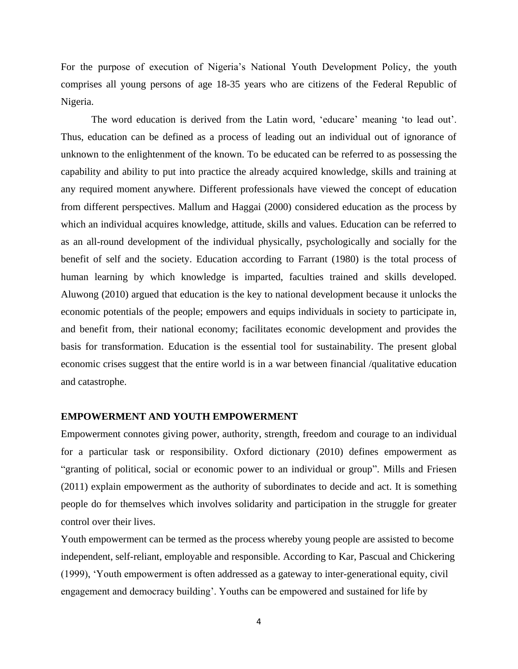For the purpose of execution of Nigeria's National Youth Development Policy, the youth comprises all young persons of age 18-35 years who are citizens of the Federal Republic of Nigeria.

The word education is derived from the Latin word, 'educare' meaning 'to lead out'. Thus, education can be defined as a process of leading out an individual out of ignorance of unknown to the enlightenment of the known. To be educated can be referred to as possessing the capability and ability to put into practice the already acquired knowledge, skills and training at any required moment anywhere. Different professionals have viewed the concept of education from different perspectives. Mallum and Haggai (2000) considered education as the process by which an individual acquires knowledge, attitude, skills and values. Education can be referred to as an all-round development of the individual physically, psychologically and socially for the benefit of self and the society. Education according to Farrant (1980) is the total process of human learning by which knowledge is imparted, faculties trained and skills developed. Aluwong (2010) argued that education is the key to national development because it unlocks the economic potentials of the people; empowers and equips individuals in society to participate in, and benefit from, their national economy; facilitates economic development and provides the basis for transformation. Education is the essential tool for sustainability. The present global economic crises suggest that the entire world is in a war between financial /qualitative education and catastrophe.

#### **EMPOWERMENT AND YOUTH EMPOWERMENT**

Empowerment connotes giving power, authority, strength, freedom and courage to an individual for a particular task or responsibility. Oxford dictionary (2010) defines empowerment as "granting of political, social or economic power to an individual or group". Mills and Friesen (2011) explain empowerment as the authority of subordinates to decide and act. It is something people do for themselves which involves solidarity and participation in the struggle for greater control over their lives.

Youth empowerment can be termed as the process whereby young people are assisted to become independent, self-reliant, employable and responsible. According to Kar, Pascual and Chickering (1999), 'Youth empowerment is often addressed as a gateway to inter-generational equity, civil engagement and democracy building'. Youths can be empowered and sustained for life by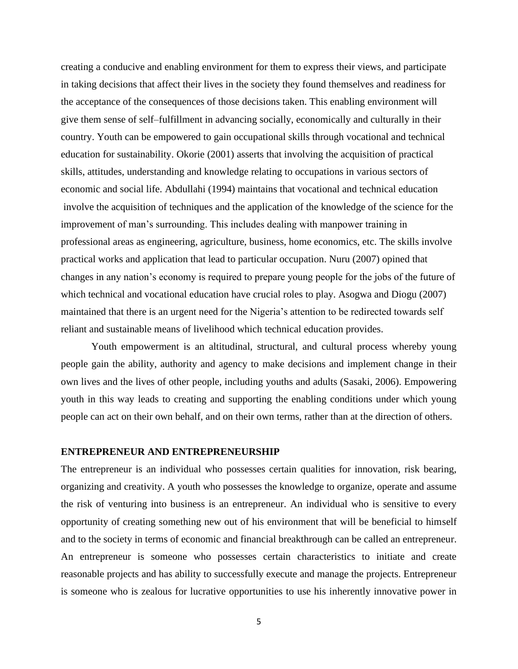creating a conducive and enabling environment for them to express their views, and participate in taking decisions that affect their lives in the society they found themselves and readiness for the acceptance of the consequences of those decisions taken. This enabling environment will give them sense of self–fulfillment in advancing socially, economically and culturally in their country. Youth can be empowered to gain occupational skills through vocational and technical education for sustainability. Okorie (2001) asserts that involving the acquisition of practical skills, attitudes, understanding and knowledge relating to occupations in various sectors of economic and social life. Abdullahi (1994) maintains that vocational and technical education involve the acquisition of techniques and the application of the knowledge of the science for the improvement of man's surrounding. This includes dealing with manpower training in professional areas as engineering, agriculture, business, home economics, etc. The skills involve practical works and application that lead to particular occupation. Nuru (2007) opined that changes in any nation's economy is required to prepare young people for the jobs of the future of which technical and vocational education have crucial roles to play. Asogwa and Diogu (2007) maintained that there is an urgent need for the Nigeria's attention to be redirected towards self reliant and sustainable means of livelihood which technical education provides.

Youth empowerment is an altitudinal, structural, and cultural process whereby young people gain the ability, authority and agency to make decisions and implement change in their own lives and the lives of other people, including youths and adults (Sasaki, 2006). Empowering youth in this way leads to creating and supporting the enabling conditions under which young people can act on their own behalf, and on their own terms, rather than at the direction of others.

#### **ENTREPRENEUR AND ENTREPRENEURSHIP**

The entrepreneur is an individual who possesses certain qualities for innovation, risk bearing, organizing and creativity. A youth who possesses the knowledge to organize, operate and assume the risk of venturing into business is an entrepreneur. An individual who is sensitive to every opportunity of creating something new out of his environment that will be beneficial to himself and to the society in terms of economic and financial breakthrough can be called an entrepreneur. An entrepreneur is someone who possesses certain characteristics to initiate and create reasonable projects and has ability to successfully execute and manage the projects. Entrepreneur is someone who is zealous for lucrative opportunities to use his inherently innovative power in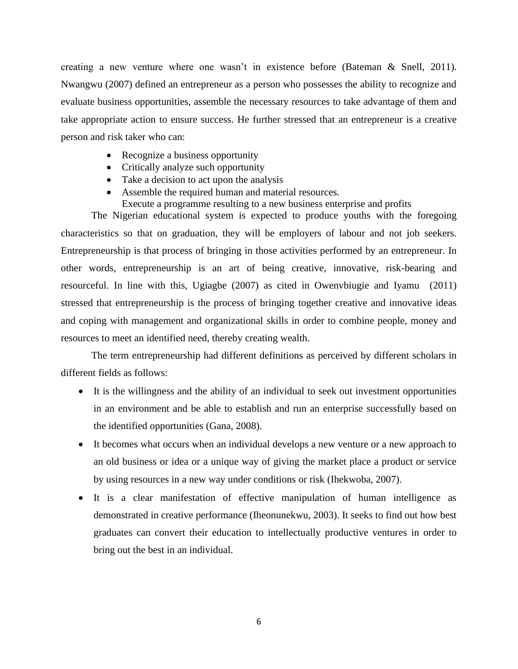creating a new venture where one wasn't in existence before (Bateman & Snell, 2011). Nwangwu (2007) defined an entrepreneur as a person who possesses the ability to recognize and evaluate business opportunities, assemble the necessary resources to take advantage of them and take appropriate action to ensure success. He further stressed that an entrepreneur is a creative person and risk taker who can:

- Recognize a business opportunity
- Critically analyze such opportunity
- Take a decision to act upon the analysis
- Assemble the required human and material resources.
	- Execute a programme resulting to a new business enterprise and profits

The Nigerian educational system is expected to produce youths with the foregoing characteristics so that on graduation, they will be employers of labour and not job seekers. Entrepreneurship is that process of bringing in those activities performed by an entrepreneur. In other words, entrepreneurship is an art of being creative, innovative, risk-bearing and resourceful. In line with this, Ugiagbe (2007) as cited in Owenvbiugie and Iyamu (2011) stressed that entrepreneurship is the process of bringing together creative and innovative ideas and coping with management and organizational skills in order to combine people, money and resources to meet an identified need, thereby creating wealth.

The term entrepreneurship had different definitions as perceived by different scholars in different fields as follows:

- It is the willingness and the ability of an individual to seek out investment opportunities in an environment and be able to establish and run an enterprise successfully based on the identified opportunities (Gana, 2008).
- It becomes what occurs when an individual develops a new venture or a new approach to an old business or idea or a unique way of giving the market place a product or service by using resources in a new way under conditions or risk (Ihekwoba, 2007).
- It is a clear manifestation of effective manipulation of human intelligence as demonstrated in creative performance (Iheonunekwu, 2003). It seeks to find out how best graduates can convert their education to intellectually productive ventures in order to bring out the best in an individual.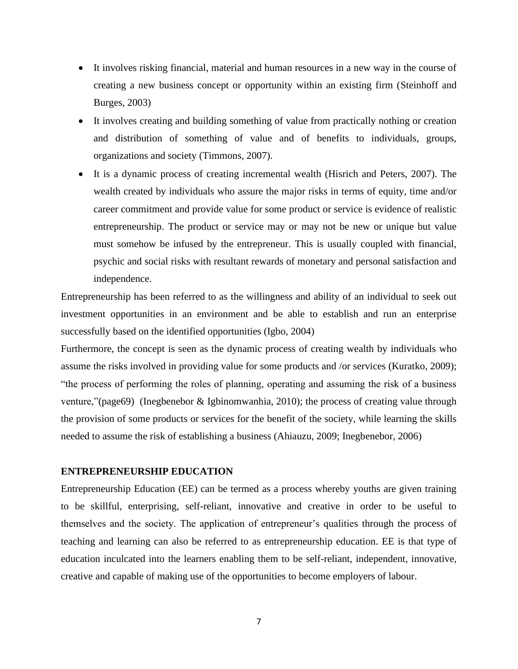- It involves risking financial, material and human resources in a new way in the course of creating a new business concept or opportunity within an existing firm (Steinhoff and Burges, 2003)
- It involves creating and building something of value from practically nothing or creation and distribution of something of value and of benefits to individuals, groups, organizations and society (Timmons, 2007).
- It is a dynamic process of creating incremental wealth (Hisrich and Peters, 2007). The wealth created by individuals who assure the major risks in terms of equity, time and/or career commitment and provide value for some product or service is evidence of realistic entrepreneurship. The product or service may or may not be new or unique but value must somehow be infused by the entrepreneur. This is usually coupled with financial, psychic and social risks with resultant rewards of monetary and personal satisfaction and independence.

Entrepreneurship has been referred to as the willingness and ability of an individual to seek out investment opportunities in an environment and be able to establish and run an enterprise successfully based on the identified opportunities (Igbo, 2004)

Furthermore, the concept is seen as the dynamic process of creating wealth by individuals who assume the risks involved in providing value for some products and /or services (Kuratko, 2009); "the process of performing the roles of planning, operating and assuming the risk of a business venture,"(page69) (Inegbenebor & Igbinomwanhia, 2010); the process of creating value through the provision of some products or services for the benefit of the society, while learning the skills needed to assume the risk of establishing a business (Ahiauzu, 2009; Inegbenebor, 2006)

## **ENTREPRENEURSHIP EDUCATION**

Entrepreneurship Education (EE) can be termed as a process whereby youths are given training to be skillful, enterprising, self-reliant, innovative and creative in order to be useful to themselves and the society. The application of entrepreneur's qualities through the process of teaching and learning can also be referred to as entrepreneurship education. EE is that type of education inculcated into the learners enabling them to be self-reliant, independent, innovative, creative and capable of making use of the opportunities to become employers of labour.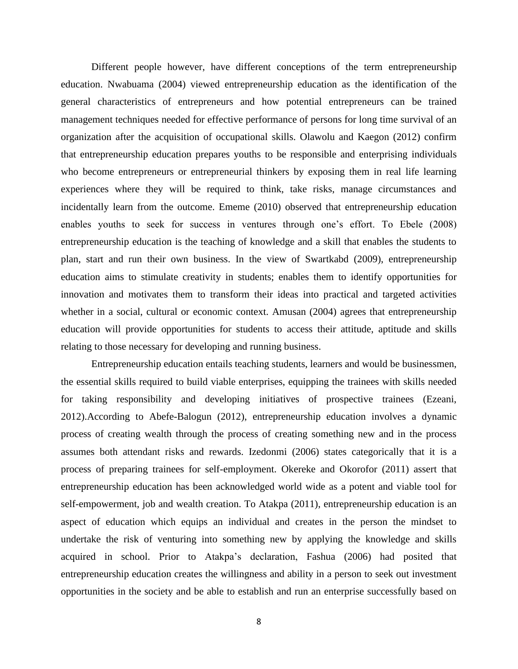Different people however, have different conceptions of the term entrepreneurship education. Nwabuama (2004) viewed entrepreneurship education as the identification of the general characteristics of entrepreneurs and how potential entrepreneurs can be trained management techniques needed for effective performance of persons for long time survival of an organization after the acquisition of occupational skills. Olawolu and Kaegon (2012) confirm that entrepreneurship education prepares youths to be responsible and enterprising individuals who become entrepreneurs or entrepreneurial thinkers by exposing them in real life learning experiences where they will be required to think, take risks, manage circumstances and incidentally learn from the outcome. Ememe (2010) observed that entrepreneurship education enables youths to seek for success in ventures through one's effort. To Ebele (2008) entrepreneurship education is the teaching of knowledge and a skill that enables the students to plan, start and run their own business. In the view of Swartkabd (2009), entrepreneurship education aims to stimulate creativity in students; enables them to identify opportunities for innovation and motivates them to transform their ideas into practical and targeted activities whether in a social, cultural or economic context. Amusan (2004) agrees that entrepreneurship education will provide opportunities for students to access their attitude, aptitude and skills relating to those necessary for developing and running business.

Entrepreneurship education entails teaching students, learners and would be businessmen, the essential skills required to build viable enterprises, equipping the trainees with skills needed for taking responsibility and developing initiatives of prospective trainees (Ezeani, 2012).According to Abefe-Balogun (2012), entrepreneurship education involves a dynamic process of creating wealth through the process of creating something new and in the process assumes both attendant risks and rewards. Izedonmi (2006) states categorically that it is a process of preparing trainees for self-employment. Okereke and Okorofor (2011) assert that entrepreneurship education has been acknowledged world wide as a potent and viable tool for self-empowerment, job and wealth creation. To Atakpa (2011), entrepreneurship education is an aspect of education which equips an individual and creates in the person the mindset to undertake the risk of venturing into something new by applying the knowledge and skills acquired in school. Prior to Atakpa's declaration, Fashua (2006) had posited that entrepreneurship education creates the willingness and ability in a person to seek out investment opportunities in the society and be able to establish and run an enterprise successfully based on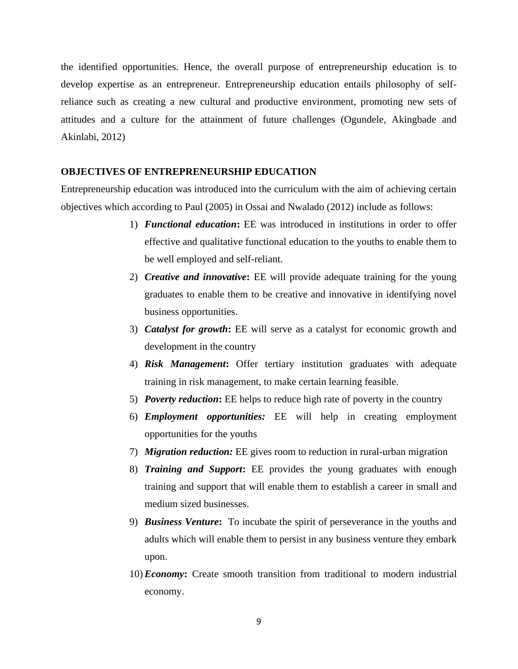the identified opportunities. Hence, the overall purpose of entrepreneurship education is to develop expertise as an entrepreneur. Entrepreneurship education entails philosophy of selfreliance such as creating a new cultural and productive environment, promoting new sets of attitudes and a culture for the attainment of future challenges (Ogundele, Akingbade and Akinlabi, 2012)

### **OBJECTIVES OF ENTREPRENEURSHIP EDUCATION**

Entrepreneurship education was introduced into the curriculum with the aim of achieving certain objectives which according to Paul (2005) in Ossai and Nwalado (2012) include as follows:

- 1) *Functional education***:** EE was introduced in institutions in order to offer effective and qualitative functional education to the youths to enable them to be well employed and self-reliant.
- 2) *Creative and innovative***:** EE will provide adequate training for the young graduates to enable them to be creative and innovative in identifying novel business opportunities.
- 3) *Catalyst for growth***:** EE will serve as a catalyst for economic growth and development in the country
- 4) *Risk Management***:** Offer tertiary institution graduates with adequate training in risk management, to make certain learning feasible.
- 5) *Poverty reduction***:** EE helps to reduce high rate of poverty in the country
- 6) *Employment opportunities:* EE will help in creating employment opportunities for the youths
- 7) *Migration reduction:* EE gives room to reduction in rural-urban migration
- 8) *Training and Support***:** EE provides the young graduates with enough training and support that will enable them to establish a career in small and medium sized businesses.
- 9) *Business Venture***:** To incubate the spirit of perseverance in the youths and adults which will enable them to persist in any business venture they embark upon.
- 10) *Economy***:** Create smooth transition from traditional to modern industrial economy.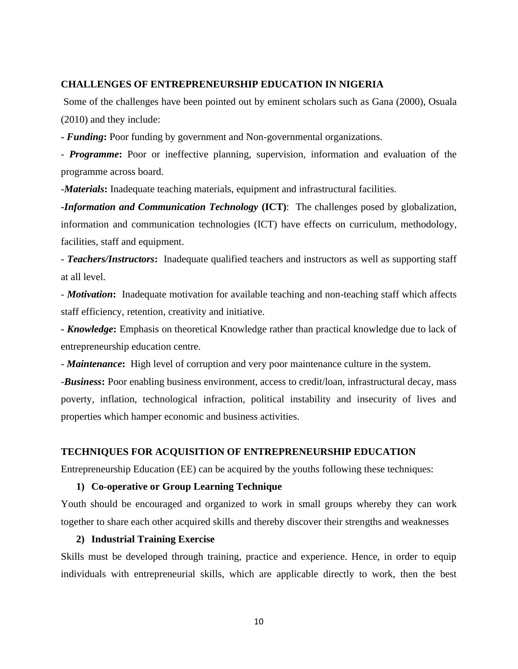## **CHALLENGES OF ENTREPRENEURSHIP EDUCATION IN NIGERIA**

Some of the challenges have been pointed out by eminent scholars such as Gana (2000), Osuala (2010) and they include:

**-** *Funding***:** Poor funding by government and Non-governmental organizations.

*- Programme***:** Poor or ineffective planning, supervision, information and evaluation of the programme across board.

-*Materials***:** Inadequate teaching materials, equipment and infrastructural facilities.

**-***Information and Communication Technology* **(ICT)**: The challenges posed by globalization, information and communication technologies (ICT) have effects on curriculum, methodology, facilities, staff and equipment.

- *Teachers/Instructors***:** Inadequate qualified teachers and instructors as well as supporting staff at all level.

*- Motivation***:** Inadequate motivation for available teaching and non-teaching staff which affects staff efficiency, retention, creativity and initiative.

*- Knowledge***:** Emphasis on theoretical Knowledge rather than practical knowledge due to lack of entrepreneurship education centre.

*- Maintenance***:** High level of corruption and very poor maintenance culture in the system.

-*Business***:** Poor enabling business environment, access to credit/loan, infrastructural decay, mass poverty, inflation, technological infraction, political instability and insecurity of lives and properties which hamper economic and business activities.

### **TECHNIQUES FOR ACQUISITION OF ENTREPRENEURSHIP EDUCATION**

Entrepreneurship Education (EE) can be acquired by the youths following these techniques:

#### **1) Co-operative or Group Learning Technique**

Youth should be encouraged and organized to work in small groups whereby they can work together to share each other acquired skills and thereby discover their strengths and weaknesses

## **2) Industrial Training Exercise**

Skills must be developed through training, practice and experience. Hence, in order to equip individuals with entrepreneurial skills, which are applicable directly to work, then the best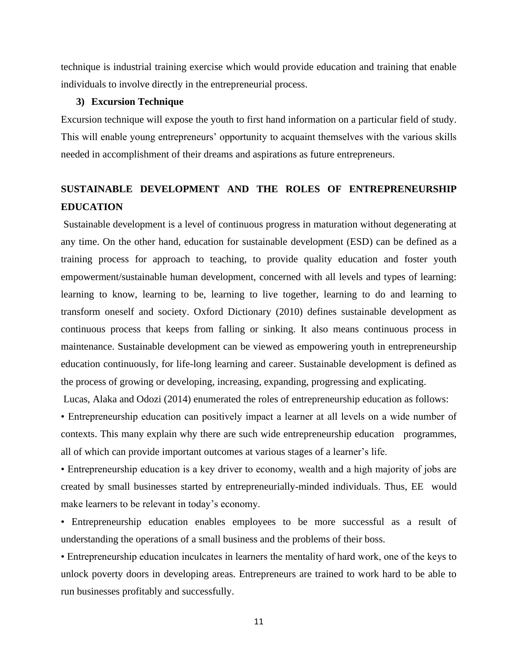technique is industrial training exercise which would provide education and training that enable individuals to involve directly in the entrepreneurial process.

## **3) Excursion Technique**

Excursion technique will expose the youth to first hand information on a particular field of study. This will enable young entrepreneurs' opportunity to acquaint themselves with the various skills needed in accomplishment of their dreams and aspirations as future entrepreneurs.

## **SUSTAINABLE DEVELOPMENT AND THE ROLES OF ENTREPRENEURSHIP EDUCATION**

Sustainable development is a level of continuous progress in maturation without degenerating at any time. On the other hand, education for sustainable development (ESD) can be defined as a training process for approach to teaching, to provide quality education and foster youth empowerment/sustainable human development, concerned with all levels and types of learning: learning to know, learning to be, learning to live together, learning to do and learning to transform oneself and society. Oxford Dictionary (2010) defines sustainable development as continuous process that keeps from falling or sinking. It also means continuous process in maintenance. Sustainable development can be viewed as empowering youth in entrepreneurship education continuously, for life-long learning and career. Sustainable development is defined as the process of growing or developing, increasing, expanding, progressing and explicating.

Lucas, Alaka and Odozi (2014) enumerated the roles of entrepreneurship education as follows:

• Entrepreneurship education can positively impact a learner at all levels on a wide number of contexts. This many explain why there are such wide entrepreneurship education programmes, all of which can provide important outcomes at various stages of a learner's life.

• Entrepreneurship education is a key driver to economy, wealth and a high majority of jobs are created by small businesses started by entrepreneurially-minded individuals. Thus, EE would make learners to be relevant in today's economy.

• Entrepreneurship education enables employees to be more successful as a result of understanding the operations of a small business and the problems of their boss.

• Entrepreneurship education inculcates in learners the mentality of hard work, one of the keys to unlock poverty doors in developing areas. Entrepreneurs are trained to work hard to be able to run businesses profitably and successfully.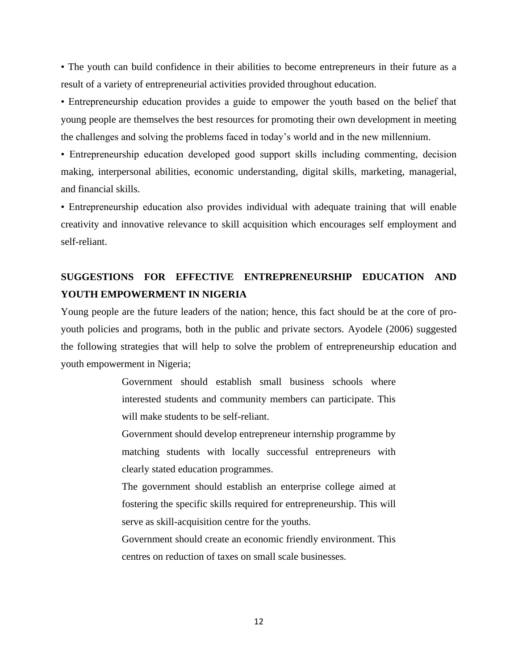• The youth can build confidence in their abilities to become entrepreneurs in their future as a result of a variety of entrepreneurial activities provided throughout education.

• Entrepreneurship education provides a guide to empower the youth based on the belief that young people are themselves the best resources for promoting their own development in meeting the challenges and solving the problems faced in today's world and in the new millennium.

• Entrepreneurship education developed good support skills including commenting, decision making, interpersonal abilities, economic understanding, digital skills, marketing, managerial, and financial skills.

• Entrepreneurship education also provides individual with adequate training that will enable creativity and innovative relevance to skill acquisition which encourages self employment and self-reliant.

## **SUGGESTIONS FOR EFFECTIVE ENTREPRENEURSHIP EDUCATION AND YOUTH EMPOWERMENT IN NIGERIA**

Young people are the future leaders of the nation; hence, this fact should be at the core of proyouth policies and programs, both in the public and private sectors. Ayodele (2006) suggested the following strategies that will help to solve the problem of entrepreneurship education and youth empowerment in Nigeria;

> Government should establish small business schools where interested students and community members can participate. This will make students to be self-reliant.

> Government should develop entrepreneur internship programme by matching students with locally successful entrepreneurs with clearly stated education programmes.

> The government should establish an enterprise college aimed at fostering the specific skills required for entrepreneurship. This will serve as skill-acquisition centre for the youths.

> Government should create an economic friendly environment. This centres on reduction of taxes on small scale businesses.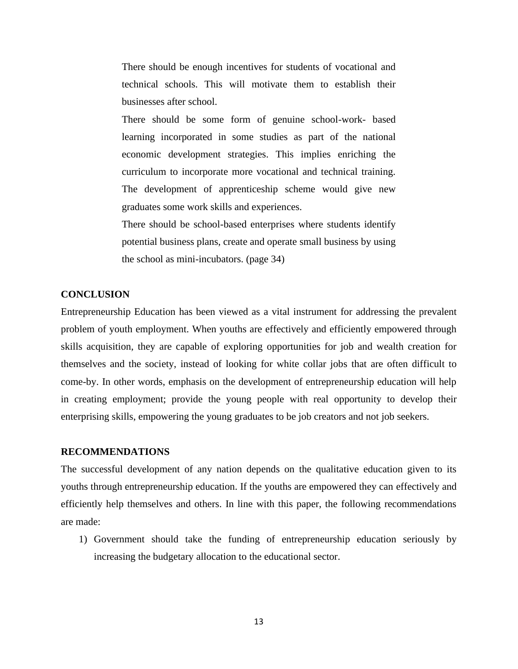There should be enough incentives for students of vocational and technical schools. This will motivate them to establish their businesses after school.

There should be some form of genuine school-work- based learning incorporated in some studies as part of the national economic development strategies. This implies enriching the curriculum to incorporate more vocational and technical training. The development of apprenticeship scheme would give new graduates some work skills and experiences.

There should be school-based enterprises where students identify potential business plans, create and operate small business by using the school as mini-incubators. (page 34)

## **CONCLUSION**

Entrepreneurship Education has been viewed as a vital instrument for addressing the prevalent problem of youth employment. When youths are effectively and efficiently empowered through skills acquisition, they are capable of exploring opportunities for job and wealth creation for themselves and the society, instead of looking for white collar jobs that are often difficult to come-by. In other words, emphasis on the development of entrepreneurship education will help in creating employment; provide the young people with real opportunity to develop their enterprising skills, empowering the young graduates to be job creators and not job seekers.

#### **RECOMMENDATIONS**

The successful development of any nation depends on the qualitative education given to its youths through entrepreneurship education. If the youths are empowered they can effectively and efficiently help themselves and others. In line with this paper, the following recommendations are made:

1) Government should take the funding of entrepreneurship education seriously by increasing the budgetary allocation to the educational sector.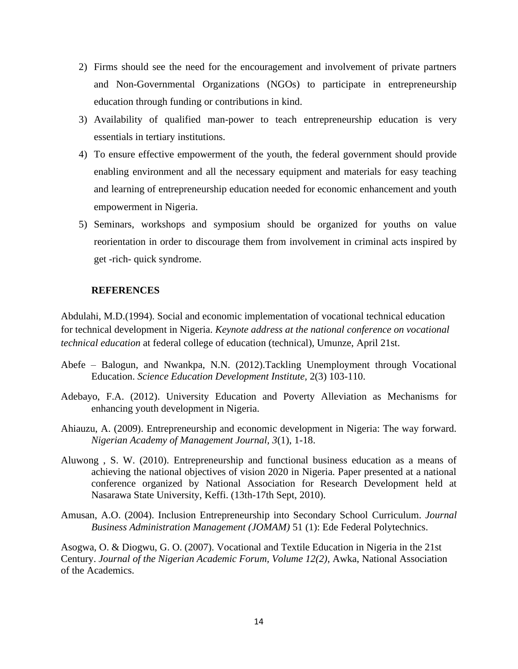- 2) Firms should see the need for the encouragement and involvement of private partners and Non-Governmental Organizations (NGOs) to participate in entrepreneurship education through funding or contributions in kind.
- 3) Availability of qualified man-power to teach entrepreneurship education is very essentials in tertiary institutions.
- 4) To ensure effective empowerment of the youth, the federal government should provide enabling environment and all the necessary equipment and materials for easy teaching and learning of entrepreneurship education needed for economic enhancement and youth empowerment in Nigeria.
- 5) Seminars, workshops and symposium should be organized for youths on value reorientation in order to discourage them from involvement in criminal acts inspired by get -rich- quick syndrome.

## **REFERENCES**

Abdulahi, M.D.(1994). Social and economic implementation of vocational technical education for technical development in Nigeria. *Keynote address at the national conference on vocational technical education* at federal college of education (technical), Umunze, April 21st.

- Abefe Balogun, and Nwankpa, N.N. (2012).Tackling Unemployment through Vocational Education. *Science Education Development Institute,* 2(3) 103-110.
- Adebayo, F.A. (2012). University Education and Poverty Alleviation as Mechanisms for enhancing youth development in Nigeria.
- Ahiauzu, A. (2009). Entrepreneurship and economic development in Nigeria: The way forward. *Nigerian Academy of Management Journal, 3*(1), 1-18.
- Aluwong , S. W. (2010). Entrepreneurship and functional business education as a means of achieving the national objectives of vision 2020 in Nigeria. Paper presented at a national conference organized by National Association for Research Development held at Nasarawa State University, Keffi. (13th-17th Sept, 2010).
- Amusan, A.O. (2004). Inclusion Entrepreneurship into Secondary School Curriculum. *Journal Business Administration Management (JOMAM)* 51 (1): Ede Federal Polytechnics.

Asogwa, O. & Diogwu, G. O. (2007). Vocational and Textile Education in Nigeria in the 21st Century. *Journal of the Nigerian Academic Forum, Volume 12(2)*, Awka, National Association of the Academics.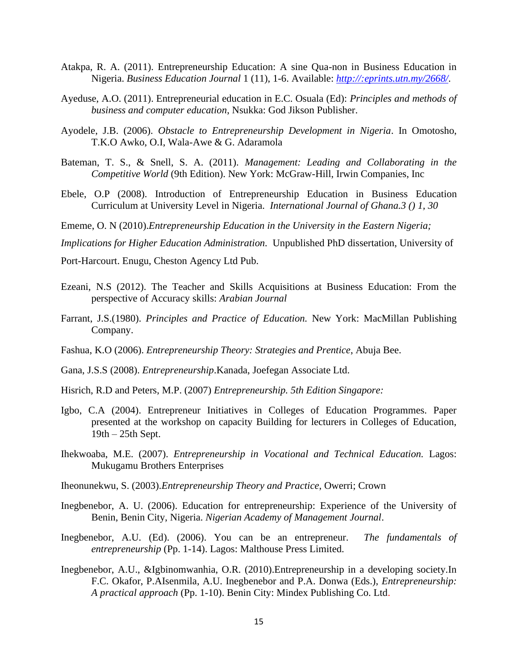- Atakpa, R. A. (2011). Entrepreneurship Education: A sine Qua-non in Business Education in Nigeria. *Business Education Journal* 1 (11), 1-6. Available: *http://:eprints.utn.my/2668/.*
- Ayeduse, A.O. (2011). Entrepreneurial education in E.C. Osuala (Ed): *Principles and methods of business and computer education*, Nsukka: God Jikson Publisher.
- Ayodele, J.B. (2006). *Obstacle to Entrepreneurship Development in Nigeria*. In Omotosho, T.K.O Awko, O.I, Wala-Awe & G. Adaramola
- Bateman, T. S., & Snell, S. A. (2011). *Management: Leading and Collaborating in the Competitive World* (9th Edition). New York: McGraw-Hill, Irwin Companies, Inc
- Ebele, O.P (2008). Introduction of Entrepreneurship Education in Business Education Curriculum at University Level in Nigeria. *International Journal of Ghana.3 () 1, 30*
- Ememe, O. N (2010).*Entrepreneurship Education in the University in the Eastern Nigeria;*

*Implications for Higher Education Administration.* Unpublished PhD dissertation, University of

Port-Harcourt. Enugu, Cheston Agency Ltd Pub.

- Ezeani, N.S (2012). The Teacher and Skills Acquisitions at Business Education: From the perspective of Accuracy skills: *Arabian Journal*
- Farrant, J.S.(1980). *Principles and Practice of Education.* New York: MacMillan Publishing Company.
- Fashua, K.O (2006). *Entrepreneurship Theory: Strategies and Prentice*, Abuja Bee.
- Gana, J.S.S (2008). *Entrepreneurship*.Kanada, Joefegan Associate Ltd.
- Hisrich, R.D and Peters, M.P. (2007) *Entrepreneurship. 5th Edition Singapore:*
- Igbo, C.A (2004). Entrepreneur Initiatives in Colleges of Education Programmes. Paper presented at the workshop on capacity Building for lecturers in Colleges of Education, 19th – 25th Sept.
- Ihekwoaba, M.E. (2007). *Entrepreneurship in Vocational and Technical Education.* Lagos: Mukugamu Brothers Enterprises
- Iheonunekwu, S. (2003).*Entrepreneurship Theory and Practice*, Owerri; Crown
- Inegbenebor, A. U. (2006). Education for entrepreneurship: Experience of the University of Benin, Benin City, Nigeria. *Nigerian Academy of Management Journal*.
- Inegbenebor, A.U. (Ed). (2006). You can be an entrepreneur. *The fundamentals of entrepreneurship* (Pp. 1-14). Lagos: Malthouse Press Limited.
- Inegbenebor, A.U., &Igbinomwanhia, O.R. (2010).Entrepreneurship in a developing society.In F.C. Okafor, P.AIsenmila, A.U. Inegbenebor and P.A. Donwa (Eds.), *Entrepreneurship: A practical approach* (Pp. 1-10). Benin City: Mindex Publishing Co. Ltd.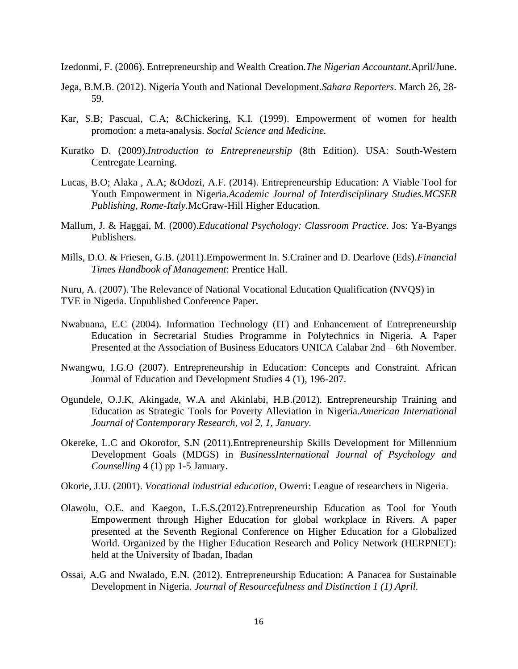- Izedonmi, F. (2006). Entrepreneurship and Wealth Creation*.The Nigerian Accountant.*April/June.
- Jega, B.M.B. (2012). Nigeria Youth and National Development.*Sahara Reporters*. March 26, 28- 59.
- Kar, S.B; Pascual, C.A; &Chickering, K.I. (1999). Empowerment of women for health promotion: a meta-analysis. *Social Science and Medicine.*
- Kuratko D. (2009).*Introduction to Entrepreneurship* (8th Edition). USA: South-Western Centregate Learning.
- Lucas, B.O; Alaka , A.A; &Odozi, A.F. (2014). Entrepreneurship Education: A Viable Tool for Youth Empowerment in Nigeria.*Academic Journal of Interdisciplinary Studies.MCSER Publishing, Rome-Italy.*McGraw-Hill Higher Education.
- Mallum, J. & Haggai, M. (2000).*Educational Psychology: Classroom Practice*. Jos: Ya-Byangs Publishers.
- Mills, D.O. & Friesen, G.B. (2011).Empowerment In. S.Crainer and D. Dearlove (Eds).*Financial Times Handbook of Management*: Prentice Hall.
- Nuru, A. (2007). The Relevance of National Vocational Education Qualification (NVQS) in TVE in Nigeria. Unpublished Conference Paper.
- Nwabuana, E.C (2004). Information Technology (IT) and Enhancement of Entrepreneurship Education in Secretarial Studies Programme in Polytechnics in Nigeria. A Paper Presented at the Association of Business Educators UNICA Calabar 2nd – 6th November.
- Nwangwu, I.G.O (2007). Entrepreneurship in Education: Concepts and Constraint. African Journal of Education and Development Studies 4 (1), 196-207.
- Ogundele, O.J.K, Akingade, W.A and Akinlabi, H.B.(2012). Entrepreneurship Training and Education as Strategic Tools for Poverty Alleviation in Nigeria.*American International Journal of Contemporary Research, vol 2, 1, January.*
- Okereke, L.C and Okorofor, S.N (2011).Entrepreneurship Skills Development for Millennium Development Goals (MDGS) in *BusinessInternational Journal of Psychology and Counselling* 4 (1) pp 1-5 January.
- Okorie, J.U. (2001). *Vocational industrial education*, Owerri: League of researchers in Nigeria.
- Olawolu, O.E. and Kaegon, L.E.S.(2012).Entrepreneurship Education as Tool for Youth Empowerment through Higher Education for global workplace in Rivers. A paper presented at the Seventh Regional Conference on Higher Education for a Globalized World. Organized by the Higher Education Research and Policy Network (HERPNET): held at the University of Ibadan, Ibadan
- Ossai, A.G and Nwalado, E.N. (2012). Entrepreneurship Education: A Panacea for Sustainable Development in Nigeria. *Journal of Resourcefulness and Distinction 1 (1) April.*